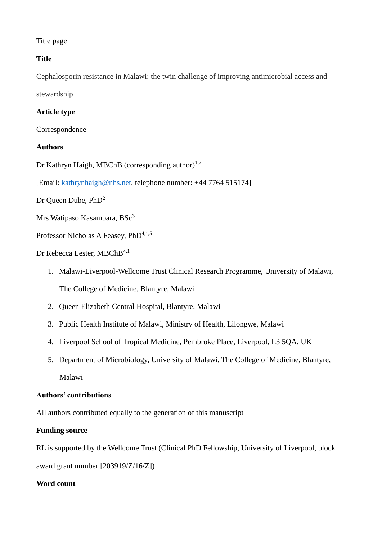## Title page

## **Title**

Cephalosporin resistance in Malawi; the twin challenge of improving antimicrobial access and stewardship

## **Article type**

Correspondence

## **Authors**

Dr Kathryn Haigh, MBChB (corresponding author)<sup>1,2</sup>

[Email: [kathrynhaigh@nhs.net,](mailto:kathrynhaigh@nhs.net) telephone number: +44 7764 515174]

Dr Queen Dube, PhD<sup>2</sup>

Mrs Watipaso Kasambara, BSc<sup>3</sup>

Professor Nicholas A Feasey, PhD<sup>4,1,5</sup>

Dr Rebecca Lester, MBChB<sup>4,1</sup>

- 1. Malawi-Liverpool-Wellcome Trust Clinical Research Programme, University of Malawi, The College of Medicine, Blantyre, Malawi
- 2. Queen Elizabeth Central Hospital, Blantyre, Malawi
- 3. Public Health Institute of Malawi, Ministry of Health, Lilongwe, Malawi
- 4. Liverpool School of Tropical Medicine, Pembroke Place, Liverpool, L3 5QA, UK
- 5. Department of Microbiology, University of Malawi, The College of Medicine, Blantyre, Malawi

### **Authors' contributions**

All authors contributed equally to the generation of this manuscript

### **Funding source**

RL is supported by the Wellcome Trust (Clinical PhD Fellowship, University of Liverpool, block award grant number [203919/Z/16/Z])

### **Word count**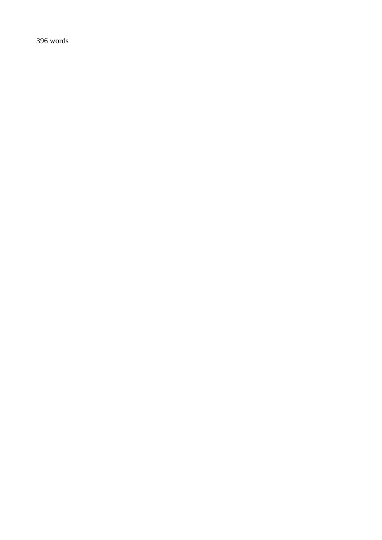words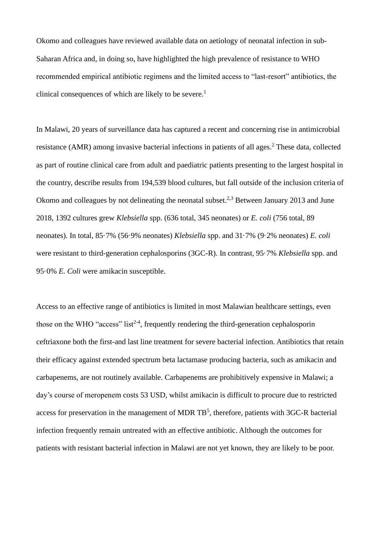Okomo and colleagues have reviewed available data on aetiology of neonatal infection in sub-Saharan Africa and, in doing so, have highlighted the high prevalence of resistance to WHO recommended empirical antibiotic regimens and the limited access to "last-resort" antibiotics, the clinical consequences of which are likely to be severe. 1

In Malawi, 20 years of surveillance data has captured a recent and concerning rise in antimicrobial resistance (AMR) among invasive bacterial infections in patients of all ages. <sup>2</sup> These data, collected as part of routine clinical care from adult and paediatric patients presenting to the largest hospital in the country, describe results from 194,539 blood cultures, but fall outside of the inclusion criteria of Okomo and colleagues by not delineating the neonatal subset.<sup>2,3</sup> Between January 2013 and June 2018, 1392 cultures grew *Klebsiella* spp. (636 total, 345 neonates) or *E. coli* (756 total, 89 neonates)*.* In total, 85·7% (56·9% neonates) *Klebsiella* spp. and 31·7% (9·2% neonates) *E. coli*  were resistant to third-generation cephalosporins (3GC-R). In contrast, 95·7% *Klebsiella* spp. and 95·0% *E. Coli* were amikacin susceptible.

Access to an effective range of antibiotics is limited in most Malawian healthcare settings, even those on the WHO "access" list<sup>2-4</sup>, frequently rendering the third-generation cephalosporin ceftriaxone both the first-and last line treatment for severe bacterial infection. Antibiotics that retain their efficacy against extended spectrum beta lactamase producing bacteria, such as amikacin and carbapenems, are not routinely available. Carbapenems are prohibitively expensive in Malawi; a day's course of meropenem costs 53 USD, whilst amikacin is difficult to procure due to restricted access for preservation in the management of MDR  $TB^5$ , therefore, patients with 3GC-R bacterial infection frequently remain untreated with an effective antibiotic. Although the outcomes for patients with resistant bacterial infection in Malawi are not yet known, they are likely to be poor.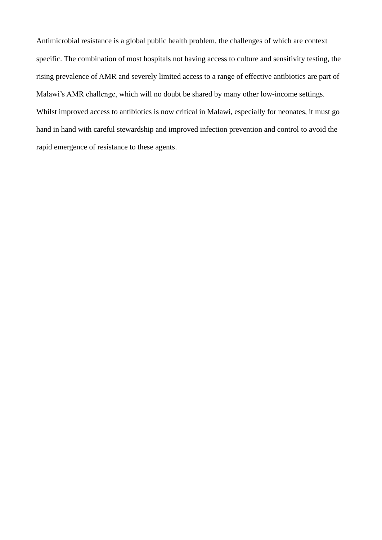Antimicrobial resistance is a global public health problem, the challenges of which are context specific. The combination of most hospitals not having access to culture and sensitivity testing, the rising prevalence of AMR and severely limited access to a range of effective antibiotics are part of Malawi's AMR challenge, which will no doubt be shared by many other low-income settings. Whilst improved access to antibiotics is now critical in Malawi, especially for neonates, it must go hand in hand with careful stewardship and improved infection prevention and control to avoid the rapid emergence of resistance to these agents.